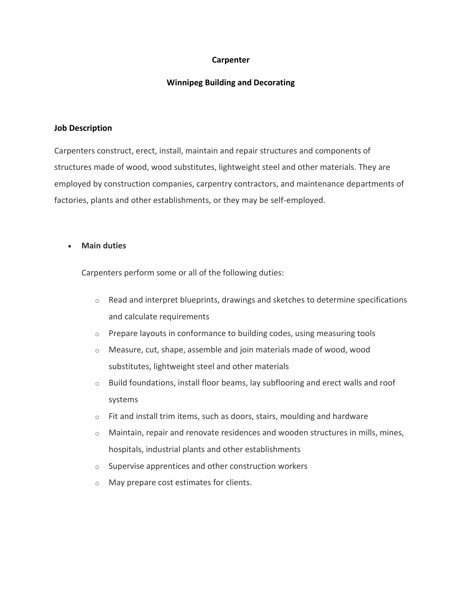# **Carpenter**

# **Winnipeg Building and Decorating**

#### **Job Description**

Carpenters construct, erect, install, maintain and repair structures and components of structures made of wood, wood substitutes, lightweight steel and other materials. They are employed by construction companies, carpentry contractors, and maintenance departments of factories, plants and other establishments, or they may be self-employed.

### • **Main duties**

Carpenters perform some or all of the following duties:

- o Read and interpret blueprints, drawings and sketches to determine specifications and calculate requirements
- $\circ$  Prepare layouts in conformance to building codes, using measuring tools
- o Measure, cut, shape, assemble and join materials made of wood, wood substitutes, lightweight steel and other materials
- $\circ$  Build foundations, install floor beams, lay subflooring and erect walls and roof systems
- $\circ$  Fit and install trim items, such as doors, stairs, moulding and hardware
- o Maintain, repair and renovate residences and wooden structures in mills, mines, hospitals, industrial plants and other establishments
- $\circ$  Supervise apprentices and other construction workers
- o May prepare cost estimates for clients.